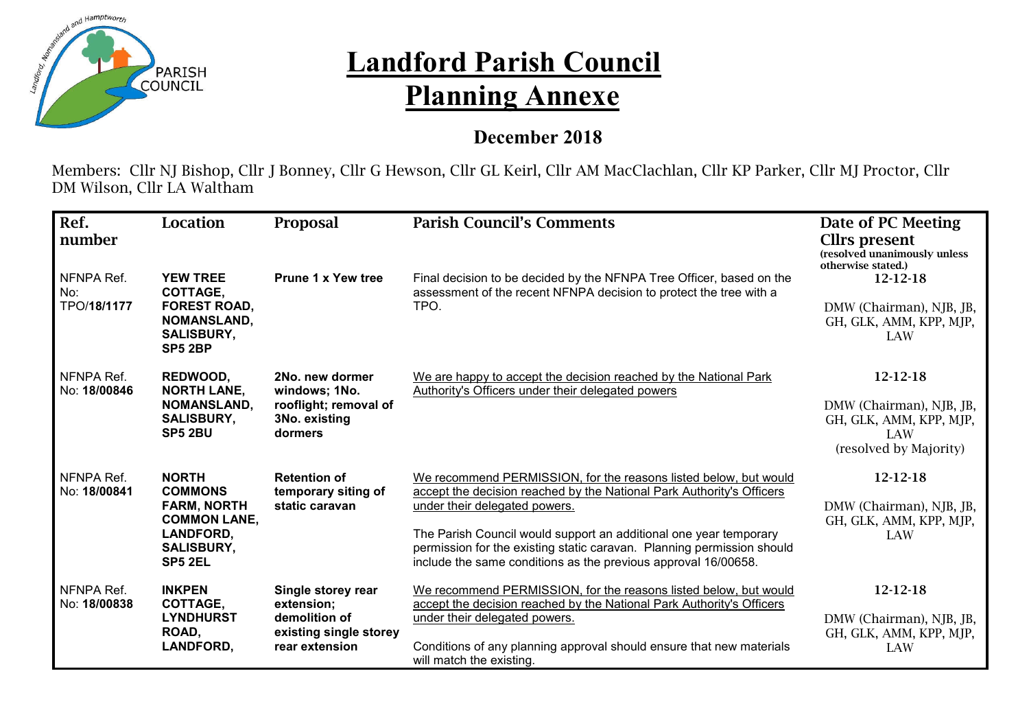

## **Landford Parish Council Planning Annexe**

## **December 2018**

Members: Cllr NJ Bishop, Cllr J Bonney, Cllr G Hewson, Cllr GL Keirl, Cllr AM MacClachlan, Cllr KP Parker, Cllr MJ Proctor, Cllr DM Wilson, Cllr LA Waltham

| Ref.<br>number                   | Location                                                                                                                        | Proposal                                                                                      | <b>Parish Council's Comments</b>                                                                                                                                                                                                                                                                                                                                                            | Date of PC Meeting<br><b>Clirs present</b><br>(resolved unanimously unless<br>otherwise stated.) |
|----------------------------------|---------------------------------------------------------------------------------------------------------------------------------|-----------------------------------------------------------------------------------------------|---------------------------------------------------------------------------------------------------------------------------------------------------------------------------------------------------------------------------------------------------------------------------------------------------------------------------------------------------------------------------------------------|--------------------------------------------------------------------------------------------------|
| NFNPA Ref.<br>No:<br>TPO/18/1177 | <b>YEW TREE</b><br>COTTAGE,<br><b>FOREST ROAD,</b><br><b>NOMANSLAND,</b><br><b>SALISBURY,</b><br>SP5 2BP                        | <b>Prune 1 x Yew tree</b>                                                                     | Final decision to be decided by the NFNPA Tree Officer, based on the<br>assessment of the recent NFNPA decision to protect the tree with a<br>TPO.                                                                                                                                                                                                                                          | $12 - 12 - 18$<br>DMW (Chairman), NJB, JB,<br>GH, GLK, AMM, KPP, MJP,<br><b>LAW</b>              |
| NFNPA Ref.<br>No: 18/00846       | REDWOOD,<br><b>NORTH LANE,</b><br><b>NOMANSLAND,</b><br><b>SALISBURY,</b><br>SP5 2BU                                            | 2No. new dormer<br>windows; 1No.<br>rooflight; removal of<br>3No. existing<br>dormers         | We are happy to accept the decision reached by the National Park<br>Authority's Officers under their delegated powers                                                                                                                                                                                                                                                                       | 12-12-18<br>DMW (Chairman), NJB, JB,<br>GH, GLK, AMM, KPP, MJP,<br>LAW<br>(resolved by Majority) |
| NFNPA Ref.<br>No: 18/00841       | <b>NORTH</b><br><b>COMMONS</b><br><b>FARM, NORTH</b><br><b>COMMON LANE,</b><br><b>LANDFORD,</b><br><b>SALISBURY,</b><br>SP5 2EL | <b>Retention of</b><br>temporary siting of<br>static caravan                                  | We recommend PERMISSION, for the reasons listed below, but would<br>accept the decision reached by the National Park Authority's Officers<br>under their delegated powers.<br>The Parish Council would support an additional one year temporary<br>permission for the existing static caravan. Planning permission should<br>include the same conditions as the previous approval 16/00658. | 12-12-18<br>DMW (Chairman), NJB, JB,<br>GH, GLK, AMM, KPP, MJP,<br>LAW                           |
| NFNPA Ref.<br>No: 18/00838       | <b>INKPEN</b><br>COTTAGE,<br><b>LYNDHURST</b><br>ROAD,<br><b>LANDFORD,</b>                                                      | Single storey rear<br>extension;<br>demolition of<br>existing single storey<br>rear extension | We recommend PERMISSION, for the reasons listed below, but would<br>accept the decision reached by the National Park Authority's Officers<br>under their delegated powers.<br>Conditions of any planning approval should ensure that new materials<br>will match the existing.                                                                                                              | 12-12-18<br>DMW (Chairman), NJB, JB,<br>GH, GLK, AMM, KPP, MJP,<br>LAW                           |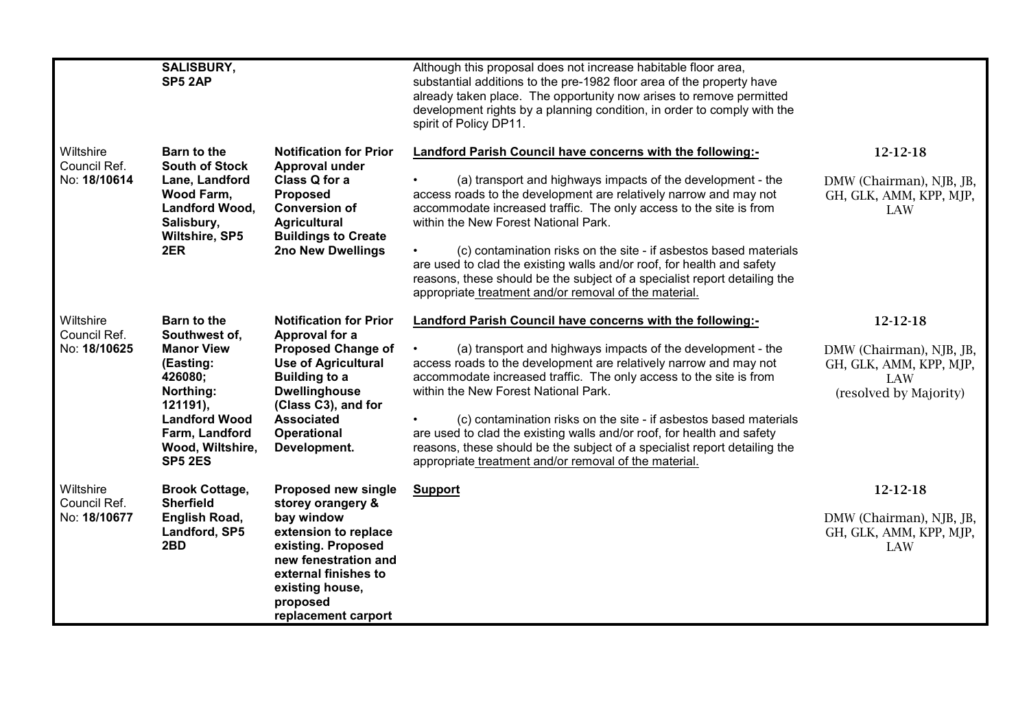|                                           | <b>SALISBURY,</b><br>SP5 2AP                                                                                                                                                             |                                                                                                                                                                                                                                              | Although this proposal does not increase habitable floor area,<br>substantial additions to the pre-1982 floor area of the property have<br>already taken place. The opportunity now arises to remove permitted<br>development rights by a planning condition, in order to comply with the<br>spirit of Policy DP11.                                                                                                                                                                                                                                                                                      |                                                                                                         |
|-------------------------------------------|------------------------------------------------------------------------------------------------------------------------------------------------------------------------------------------|----------------------------------------------------------------------------------------------------------------------------------------------------------------------------------------------------------------------------------------------|----------------------------------------------------------------------------------------------------------------------------------------------------------------------------------------------------------------------------------------------------------------------------------------------------------------------------------------------------------------------------------------------------------------------------------------------------------------------------------------------------------------------------------------------------------------------------------------------------------|---------------------------------------------------------------------------------------------------------|
| Wiltshire<br>Council Ref.<br>No: 18/10614 | <b>Barn to the</b><br><b>South of Stock</b><br>Lane, Landford<br><b>Wood Farm,</b><br>Landford Wood,<br>Salisbury,<br>Wiltshire, SP5<br>2ER                                              | <b>Notification for Prior</b><br>Approval under<br>Class Q for a<br><b>Proposed</b><br><b>Conversion of</b><br><b>Agricultural</b><br><b>Buildings to Create</b><br>2no New Dwellings                                                        | Landford Parish Council have concerns with the following:-<br>(a) transport and highways impacts of the development - the<br>access roads to the development are relatively narrow and may not<br>accommodate increased traffic. The only access to the site is from<br>within the New Forest National Park.<br>(c) contamination risks on the site - if asbestos based materials<br>are used to clad the existing walls and/or roof, for health and safety<br>reasons, these should be the subject of a specialist report detailing the<br>appropriate treatment and/or removal of the material.        | 12-12-18<br>DMW (Chairman), NJB, JB,<br>GH, GLK, AMM, KPP, MJP,<br><b>LAW</b>                           |
| Wiltshire<br>Council Ref.<br>No: 18/10625 | <b>Barn to the</b><br>Southwest of,<br><b>Manor View</b><br>(Easting:<br>426080;<br>Northing:<br>121191,<br><b>Landford Wood</b><br>Farm, Landford<br>Wood, Wiltshire,<br><b>SP5 2ES</b> | <b>Notification for Prior</b><br>Approval for a<br><b>Proposed Change of</b><br><b>Use of Agricultural</b><br><b>Building to a</b><br><b>Dwellinghouse</b><br>(Class C3), and for<br><b>Associated</b><br><b>Operational</b><br>Development. | <b>Landford Parish Council have concerns with the following:-</b><br>(a) transport and highways impacts of the development - the<br>access roads to the development are relatively narrow and may not<br>accommodate increased traffic. The only access to the site is from<br>within the New Forest National Park.<br>(c) contamination risks on the site - if asbestos based materials<br>are used to clad the existing walls and/or roof, for health and safety<br>reasons, these should be the subject of a specialist report detailing the<br>appropriate treatment and/or removal of the material. | 12-12-18<br>DMW (Chairman), NJB, JB,<br>GH, GLK, AMM, KPP, MJP,<br><b>LAW</b><br>(resolved by Majority) |
| Wiltshire<br>Council Ref.<br>No: 18/10677 | <b>Brook Cottage,</b><br><b>Sherfield</b><br>English Road,<br>Landford, SP5<br>2BD                                                                                                       | <b>Proposed new single</b><br>storey orangery &<br>bay window<br>extension to replace<br>existing. Proposed<br>new fenestration and<br>external finishes to<br>existing house,<br>proposed<br>replacement carport                            | <b>Support</b>                                                                                                                                                                                                                                                                                                                                                                                                                                                                                                                                                                                           | 12-12-18<br>DMW (Chairman), NJB, JB,<br>GH, GLK, AMM, KPP, MJP,<br>LAW                                  |